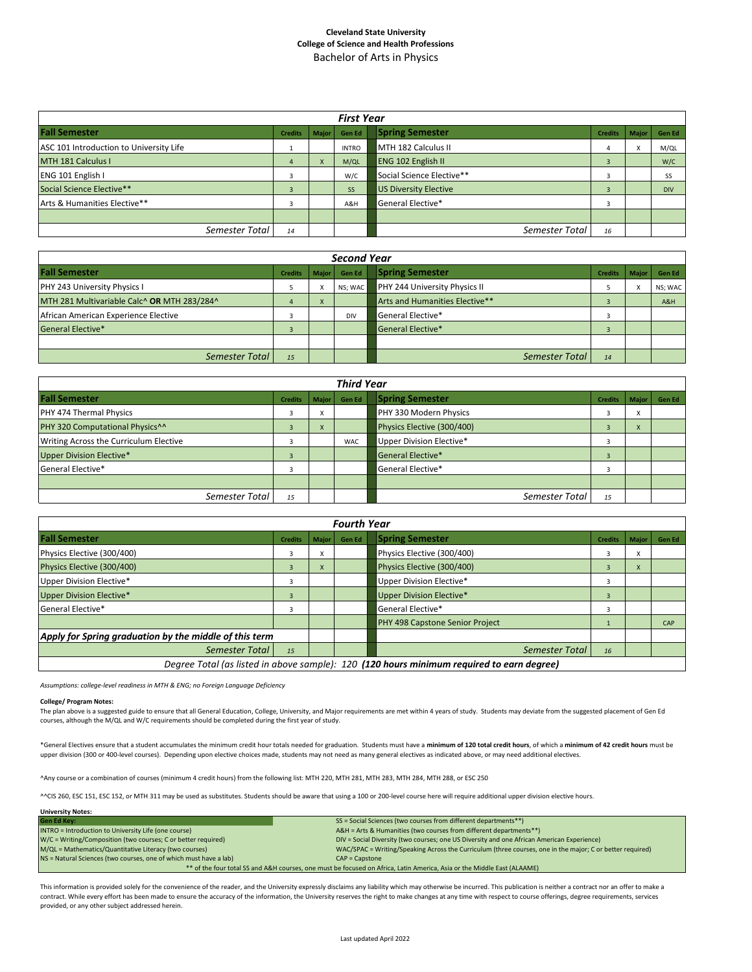## **Cleveland State University College of Science and Health Professions** Bachelor of Arts in Physics

| <b>First Year</b>                       |                |           |              |                              |                |           |            |  |  |  |  |  |  |  |
|-----------------------------------------|----------------|-----------|--------------|------------------------------|----------------|-----------|------------|--|--|--|--|--|--|--|
| <b>Fall Semester</b>                    | <b>Credits</b> | Major     | Gen Ed       | <b>Spring Semester</b>       | <b>Credits</b> | Major     | Gen Ed     |  |  |  |  |  |  |  |
| ASC 101 Introduction to University Life |                |           | <b>INTRO</b> | MTH 182 Calculus II          | 4              | $\lambda$ | M/QL       |  |  |  |  |  |  |  |
| MTH 181 Calculus I                      | 4              | $\lambda$ | M/QL         | <b>ENG 102 English II</b>    |                |           | W/C        |  |  |  |  |  |  |  |
| ENG 101 English I                       | 3              |           | W/C          | Social Science Elective**    | 3              |           | SS         |  |  |  |  |  |  |  |
| Social Science Elective**               | 3              |           | <b>SS</b>    | <b>US Diversity Elective</b> |                |           | <b>DIV</b> |  |  |  |  |  |  |  |
| Arts & Humanities Elective**            | 3              |           | A&H          | General Elective*            |                |           |            |  |  |  |  |  |  |  |
|                                         |                |           |              |                              |                |           |            |  |  |  |  |  |  |  |
| Semester Total                          | 14             |           |              | Semester Total               | 16             |           |            |  |  |  |  |  |  |  |

| <b>Second Year</b>                          |                |           |            |                                      |                |              |         |  |  |  |  |  |  |  |
|---------------------------------------------|----------------|-----------|------------|--------------------------------------|----------------|--------------|---------|--|--|--|--|--|--|--|
| <b>Fall Semester</b>                        | <b>Credits</b> | Major     | Gen Ed     | <b>Spring Semester</b>               | <b>Credits</b> | <b>Maior</b> | Gen Ed  |  |  |  |  |  |  |  |
| PHY 243 University Physics I                |                |           | NS; WAC    | <b>PHY 244 University Physics II</b> |                | $\lambda$    | NS; WAC |  |  |  |  |  |  |  |
| MTH 281 Multivariable Calc^ OR MTH 283/284^ |                | $\lambda$ |            | Arts and Humanities Elective**       |                |              | A&H     |  |  |  |  |  |  |  |
| African American Experience Elective        |                |           | <b>DIV</b> | General Elective*                    |                |              |         |  |  |  |  |  |  |  |
| <b>General Elective*</b>                    |                |           |            | <b>General Elective*</b>             |                |              |         |  |  |  |  |  |  |  |
|                                             |                |           |            |                                      |                |              |         |  |  |  |  |  |  |  |
| Semester Total                              | 15             |           |            | Semester Total                       | 14             |              |         |  |  |  |  |  |  |  |

| <b>Third Year</b>                           |                |              |            |                            |                |                        |        |  |  |  |  |  |  |  |
|---------------------------------------------|----------------|--------------|------------|----------------------------|----------------|------------------------|--------|--|--|--|--|--|--|--|
| <b>Fall Semester</b>                        | <b>Credits</b> | <b>Major</b> | Gen Ed     | <b>Spring Semester</b>     | <b>Credits</b> | <b>Maior</b>           | Gen Ed |  |  |  |  |  |  |  |
| PHY 474 Thermal Physics                     |                | $\sim$       |            | PHY 330 Modern Physics     |                | $\lambda$              |        |  |  |  |  |  |  |  |
| PHY 320 Computational Physics <sup>^^</sup> |                | $\lambda$    |            | Physics Elective (300/400) |                | $\boldsymbol{\lambda}$ |        |  |  |  |  |  |  |  |
| Writing Across the Curriculum Elective      |                |              | <b>WAC</b> | Upper Division Elective*   |                |                        |        |  |  |  |  |  |  |  |
| <b>Upper Division Elective*</b>             |                |              |            | <b>General Elective*</b>   |                |                        |        |  |  |  |  |  |  |  |
| General Elective*                           |                |              |            | General Elective*          |                |                        |        |  |  |  |  |  |  |  |
|                                             |                |              |            |                            |                |                        |        |  |  |  |  |  |  |  |
| Semester Total                              | 15             |              |            | Semester Total             | 15             |                        |        |  |  |  |  |  |  |  |

|                                                                                           |                |              | <b>Fourth Year</b> |                                 |                |              |        |  |  |  |  |
|-------------------------------------------------------------------------------------------|----------------|--------------|--------------------|---------------------------------|----------------|--------------|--------|--|--|--|--|
| <b>Fall Semester</b>                                                                      | <b>Credits</b> | <b>Maior</b> | <b>Gen Ed</b>      | <b>Spring Semester</b>          | <b>Credits</b> | <b>Maior</b> | Gen Ed |  |  |  |  |
| Physics Elective (300/400)                                                                | 3              |              |                    | Physics Elective (300/400)      |                | x            |        |  |  |  |  |
| Physics Elective (300/400)                                                                |                | X.           |                    | Physics Elective (300/400)      | $\overline{3}$ | X            |        |  |  |  |  |
| Upper Division Elective*                                                                  | Э              |              |                    | Upper Division Elective*        |                |              |        |  |  |  |  |
| <b>Upper Division Elective*</b>                                                           | $\overline{a}$ |              |                    | <b>Upper Division Elective*</b> | $\overline{3}$ |              |        |  |  |  |  |
| General Elective*                                                                         |                |              |                    | General Elective*               |                |              |        |  |  |  |  |
|                                                                                           |                |              |                    | PHY 498 Capstone Senior Project |                |              | CAP    |  |  |  |  |
| Apply for Spring graduation by the middle of this term                                    |                |              |                    |                                 |                |              |        |  |  |  |  |
| Semester Total                                                                            | 15             |              |                    | Semester Total                  | 16             |              |        |  |  |  |  |
| Degree Total (as listed in above sample): 120 (120 hours minimum required to earn degree) |                |              |                    |                                 |                |              |        |  |  |  |  |

*Assumptions: college-level readiness in MTH & ENG; no Foreign Language Deficiency*

## **College/ Program Notes:**

The plan above is a suggested guide to ensure that all General Education, College, University, and Major requirements are met within 4 years of study. Students may deviate from the suggested placement of Gen Ed courses, although the M/QL and W/C requirements should be completed during the first year of study.

\*General Electives ensure that a student accumulates the minimum credit hour totals needed for graduation. Students must have a **minimum of 120 total credit hours**, of which a **minimum of 42 credit hours** must be upper division (300 or 400-level courses). Depending upon elective choices made, students may not need as many general electives as indicated above, or may need additional electives.

^Any course or a combination of courses (minimum 4 credit hours) from the following list: MTH 220, MTH 281, MTH 283, MTH 284, MTH 288, or ESC 250

^^CIS 260, ESC 151, ESC 152, or MTH 311 may be used as substitutes. Students should be aware that using a 100 or 200-level course here will require additional upper division elective hours.

| <b>University Notes:</b>                                                                                                |                                                                                                           |  |  |  |  |  |  |  |  |  |
|-------------------------------------------------------------------------------------------------------------------------|-----------------------------------------------------------------------------------------------------------|--|--|--|--|--|--|--|--|--|
| <b>Gen Ed Key:</b>                                                                                                      | SS = Social Sciences (two courses from different departments**)                                           |  |  |  |  |  |  |  |  |  |
| INTRO = Introduction to University Life (one course)                                                                    | A&H = Arts & Humanities (two courses from different departments**)                                        |  |  |  |  |  |  |  |  |  |
| W/C = Writing/Composition (two courses; C or better required)                                                           | DIV = Social Diversity (two courses; one US Diversity and one African American Experience)                |  |  |  |  |  |  |  |  |  |
| M/QL = Mathematics/Quantitative Literacy (two courses)                                                                  | WAC/SPAC = Writing/Speaking Across the Curriculum (three courses, one in the major; C or better required) |  |  |  |  |  |  |  |  |  |
| NS = Natural Sciences (two courses, one of which must have a lab)                                                       | $CAP = \text{C}$                                                                                          |  |  |  |  |  |  |  |  |  |
| ** of the four total SS and A&H courses, one must be focused on Africa, Latin America, Asia or the Middle East (ALAAME) |                                                                                                           |  |  |  |  |  |  |  |  |  |

This information is provided solely for the convenience of the reader, and the University expressly disclaims any liability which may otherwise be incurred. This publication is neither a contract nor an offer to make a contract. While every effort has been made to ensure the accuracy of the information, the University reserves the right to make changes at any time with respect to course offerings, degree requirements, services provided, or any other subject addressed herein.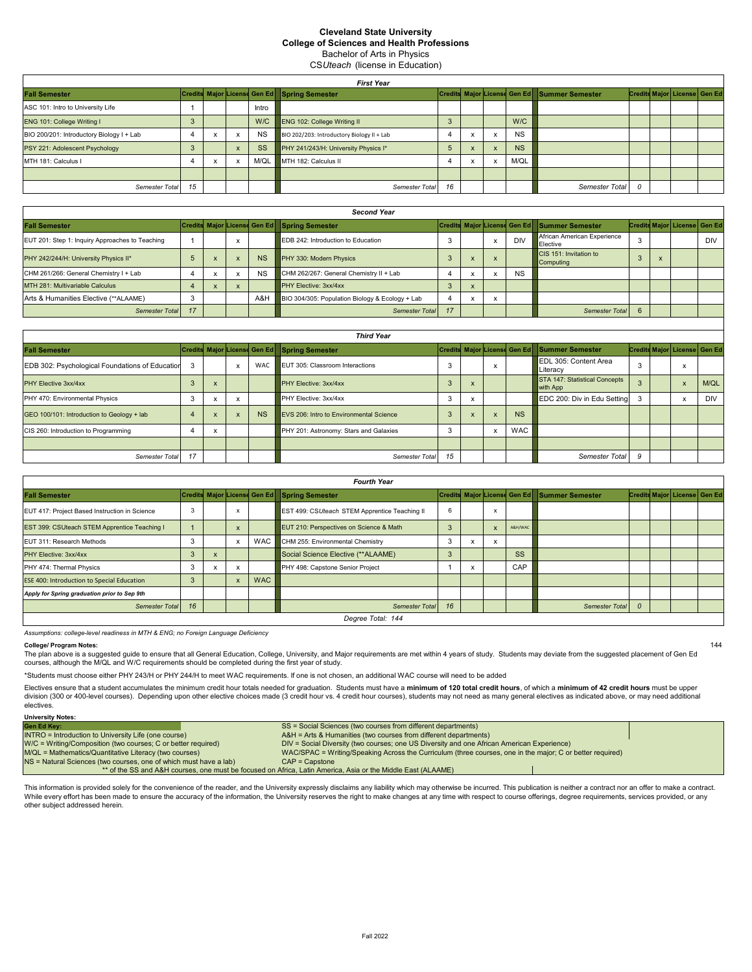## **Cleveland State University College of Sciences and Health Professions**

Bachelor of Arts in Physics

**CSUteach (license in Education)** 

|                                           | <b>First Year</b> |  |  |           |                                              |    |   |                           |           |                                              |  |  |                                     |  |  |
|-------------------------------------------|-------------------|--|--|-----------|----------------------------------------------|----|---|---------------------------|-----------|----------------------------------------------|--|--|-------------------------------------|--|--|
| <b>Fall Semester</b>                      |                   |  |  |           | Credits Major License Gen Ed Spring Semester |    |   |                           |           | Credits Major License Gen Ed Summer Semester |  |  | <b>Credits Major License Gen Ed</b> |  |  |
| ASC 101: Intro to University Life         |                   |  |  | Intro     |                                              |    |   |                           |           |                                              |  |  |                                     |  |  |
| ENG 101: College Writing I                |                   |  |  |           | W/C ENG 102: College Writing II              |    |   |                           | W/C       |                                              |  |  |                                     |  |  |
| BIO 200/201: Introductory Biology I + Lab |                   |  |  | <b>NS</b> | BIO 202/203: Introductory Biology II + Lab   |    |   | $\boldsymbol{\mathsf{x}}$ | <b>NS</b> |                                              |  |  |                                     |  |  |
| PSY 221: Adolescent Psychology            |                   |  |  | <b>SS</b> | PHY 241/243/H: University Physics I*         |    |   |                           | <b>NS</b> |                                              |  |  |                                     |  |  |
| MTH 181: Calculus I                       |                   |  |  | M/QL      | MTH 182: Calculus II                         |    | ́ | $\mathsf{x}$              | M/QL      |                                              |  |  |                                     |  |  |
|                                           |                   |  |  |           |                                              |    |   |                           |           |                                              |  |  |                                     |  |  |
| Semester Total                            | 15                |  |  |           | Semester Total                               | 16 |   |                           |           | Semester Total                               |  |  |                                     |  |  |

| <b>Second Year</b>                              |        |  |              |           |                                                 |     |  |           |            |                                                |  |  |                              |     |
|-------------------------------------------------|--------|--|--------------|-----------|-------------------------------------------------|-----|--|-----------|------------|------------------------------------------------|--|--|------------------------------|-----|
| <b>Fall Semester</b>                            |        |  |              |           | Credits Major License Gen Ed Spring Semester    |     |  |           |            | Credits Major License Gen Ed   Summer Semester |  |  | Credits Major License Gen Ed |     |
| EUT 201: Step 1: Inquiry Approaches to Teaching |        |  | $\lambda$    |           | EDB 242: Introduction to Education              |     |  | X         | <b>DIV</b> | African American Experience<br>Elective        |  |  |                              | DIV |
| PHY 242/244/H: University Physics II*           |        |  | $\mathsf{x}$ | <b>NS</b> | PHY 330: Modern Physics                         |     |  | $\lambda$ |            | CIS 151: Invitation to<br>Computing            |  |  |                              |     |
| CHM 261/266: General Chemistry I + Lab          |        |  |              | <b>NS</b> | CHM 262/267: General Chemistry II + Lab         |     |  | ж         | <b>NS</b>  |                                                |  |  |                              |     |
| MTH 281: Multivariable Calculus                 |        |  |              |           | PHY Elective: 3xx/4xx                           | - 3 |  |           |            |                                                |  |  |                              |     |
| Arts & Humanities Elective (**ALAAME)           | $\sim$ |  |              | A&H       | BIO 304/305: Population Biology & Ecology + Lab |     |  | x         |            |                                                |  |  |                              |     |
| Semester Total                                  | 17     |  |              |           | <b>Semester Total</b>                           |     |  |           |            | Semester Total                                 |  |  |                              |     |

|                                                 | <b>Third Year</b> |  |              |            |                                                |    |              |                           |            |                                              |    |  |                              |            |  |
|-------------------------------------------------|-------------------|--|--------------|------------|------------------------------------------------|----|--------------|---------------------------|------------|----------------------------------------------|----|--|------------------------------|------------|--|
| <b>Fall Semester</b>                            |                   |  |              |            | Credits Major License Gen Ed Spring Semester   |    |              |                           |            | Credits Major License Gen Ed Summer Semester |    |  | Credits Major License Gen Ed |            |  |
| EDB 302: Psychological Foundations of Education | 3                 |  | ᄌ            | <b>WAC</b> | <b>EUT 305: Classroom Interactions</b>         |    |              | $\lambda$                 |            | EDL 305: Content Area<br>Literacy            | 3  |  |                              |            |  |
| PHY Elective 3xx/4xx                            |                   |  |              |            | <b>PHY Elective: 3xx/4xx</b>                   |    |              |                           |            | STA 147: Statistical Concepts<br>with App    |    |  |                              | M/QL       |  |
| PHY 470: Environmental Physics                  | 3                 |  |              |            | PHY Elective: 3xx/4xx                          |    |              |                           |            | EDC 200: Div in Edu Setting                  |    |  | $\mathbf{v}$<br>$\lambda$    | <b>DIV</b> |  |
| GEO 100/101: Introduction to Geology + lab      |                   |  | $\mathsf{x}$ | <b>NS</b>  | <b>EVS 206: Intro to Environmental Science</b> |    | $\mathbf{x}$ | $\boldsymbol{\mathsf{x}}$ | <b>NS</b>  |                                              |    |  |                              |            |  |
| CIS 260: Introduction to Programming            |                   |  |              |            | PHY 201: Astronomy: Stars and Galaxies         |    |              |                           | <b>WAC</b> |                                              |    |  |                              |            |  |
|                                                 |                   |  |              |            |                                                |    |              |                           |            |                                              |    |  |                              |            |  |
| Semester Total                                  | 17                |  |              |            | Semester Total                                 | 15 |              |                           |            | Semester Total                               | -9 |  |                              |            |  |

| <b>Fourth Year</b>                                |                   |              |  |            |                                               |    |  |              |            |                                              |                |  |                              |  |
|---------------------------------------------------|-------------------|--------------|--|------------|-----------------------------------------------|----|--|--------------|------------|----------------------------------------------|----------------|--|------------------------------|--|
| <b>Fall Semester</b>                              |                   |              |  |            | Credits Major License Gen Ed Spring Semester  |    |  |              |            | Credits Major License Gen Ed Summer Semester |                |  | Credits Major License Gen Ed |  |
| EUT 417: Project Based Instruction in Science     |                   |              |  |            | EST 499: CSUteach STEM Apprentice Teaching II | 6  |  | x            |            |                                              |                |  |                              |  |
| EST 399: CSUteach STEM Apprentice Teaching I      |                   |              |  |            | EUT 210: Perspectives on Science & Math       | 5  |  | $\mathbf{x}$ | A&H/WAC    |                                              |                |  |                              |  |
| EUT 311: Research Methods                         |                   |              |  | WAC I      | CHM 255: Environmental Chemistry              | -0 |  | x            |            |                                              |                |  |                              |  |
| PHY Elective: 3xx/4xx                             |                   | $\mathsf{x}$ |  |            | Social Science Elective (**ALAAME)            | 3  |  |              | <b>SS</b>  |                                              |                |  |                              |  |
| PHY 474: Thermal Physics                          |                   | ᄌ            |  |            | PHY 498: Capstone Senior Project              |    |  |              | <b>CAP</b> |                                              |                |  |                              |  |
| <b>ESE 400: Introduction to Special Education</b> |                   |              |  | <b>WAC</b> |                                               |    |  |              |            |                                              |                |  |                              |  |
| Apply for Spring graduation prior to Sep 9th      |                   |              |  |            |                                               |    |  |              |            |                                              |                |  |                              |  |
| Semester Total                                    | 16                |              |  |            | <b>Semester Total</b>                         | 16 |  |              |            | Semester Total                               | $\overline{0}$ |  |                              |  |
|                                                   | Degree Total: 144 |              |  |            |                                               |    |  |              |            |                                              |                |  |                              |  |

Assumptions: college-level readiness in MTH & ENG; no Foreign Language Deficiency

**College/ Program Notes:** 

The plan above is a suggested guide to ensure that all General Education, College, University, and Major requirements are met within 4 years of study. Students may deviate from the suggested placement of Gen Ed courses, although the M/QL and W/C requirements should be completed during the first year of study.

144

\*Students must choose either PHY 243/H or PHY 244/H to meet WAC requirements. If one is not chosen, an additional WAC course will need to be added

Electives ensure that a student accumulates the minimum credit hour totals needed for graduation. Students must have a minimum of 120 total credit hours, of which a minimum of 42 credit hours must be upper division (300 or 400-level courses). Depending upon other elective choices made (3 credit hour vs. 4 credit hour courses), students may not need as many general electives as indicated above, or may need additional electives.

| <b>University Notes:</b>                                          |                                                                                                              |
|-------------------------------------------------------------------|--------------------------------------------------------------------------------------------------------------|
| <b>Gen Ed Kev:</b>                                                | SS = Social Sciences (two courses from different departments)                                                |
| INTRO = Introduction to University Life (one course)              | A&H = Arts & Humanities (two courses from different departments)                                             |
| W/C = Writing/Composition (two courses; C or better required)     | DIV = Social Diversity (two courses; one US Diversity and one African American Experience)                   |
| M/QL = Mathematics/Quantitative Literacy (two courses)            | WAC/SPAC = Writing/Speaking Across the Curriculum (three courses, one in the major; C or better required)    |
| NS = Natural Sciences (two courses, one of which must have a lab) | $CAP = Casstone$                                                                                             |
|                                                                   | ** of the SS and A&H courses, one must be focused on Africa, Latin America, Asia or the Middle East (ALAAME) |

This information is provided solely for the convenience of the reader, and the University expressly disclaims any liability which may otherwise be incurred. This publication is neither a contract nor an offer to make a con While every effort has been made to ensure the accuracy of the information, the University reserves the right to make changes at any time with respect to course offerings, degree requirements, services provided, or any other subject addressed herein.